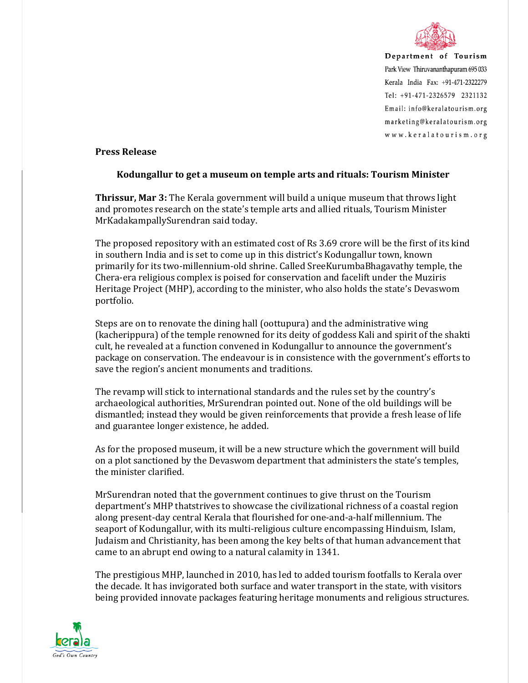

Department of Tourism Park View Thiruvananthapuram 695 033 Kerala India Fax: +91-471-2322279 Tel: +91-471-2326579 2321132 Email: info@keralatourism.org marketing@keralatourism.org www.keralatourism.org

## **Press Release**

## **Kodungallur to get a museum on temple arts and rituals: Tourism Minister**

**Thrissur, Mar 3:** The Kerala government will build a unique museum that throws light and promotes research on the state's temple arts and allied rituals, Tourism Minister MrKadakampallySurendran said today.

The proposed repository with an estimated cost of Rs 3.69 crore will be the first of its kind in southern India and is set to come up in this district's Kodungallur town, known primarily for its two-millennium-old shrine. Called SreeKurumbaBhagavathy temple, the Chera-era religious complex is poised for conservation and facelift under the Muziris Heritage Project (MHP), according to the minister, who also holds the state's Devaswom portfolio.

Steps are on to renovate the dining hall (oottupura) and the administrative wing (kacherippura) of the temple renowned for its deity of goddess Kali and spirit of the shakti cult, he revealed at a function convened in Kodungallur to announce the government's package on conservation. The endeavour is in consistence with the government's efforts to save the region's ancient monuments and traditions.

The revamp will stick to international standards and the rules set by the country's archaeological authorities, MrSurendran pointed out. None of the old buildings will be dismantled; instead they would be given reinforcements that provide a fresh lease of life and guarantee longer existence, he added.

As for the proposed museum, it will be a new structure which the government will build on a plot sanctioned by the Devaswom department that administers the state's temples, the minister clarified.

MrSurendran noted that the government continues to give thrust on the Tourism department's MHP thatstrives to showcase the civilizational richness of a coastal region along present-day central Kerala that flourished for one-and-a-half millennium. The seaport of Kodungallur, with its multi-religious culture encompassing Hinduism, Islam, Judaism and Christianity, has been among the key belts of that human advancement that came to an abrupt end owing to a natural calamity in 1341.

The prestigious MHP, launched in 2010, has led to added tourism footfalls to Kerala over the decade. It has invigorated both surface and water transport in the state, with visitors being provided innovate packages featuring heritage monuments and religious structures.